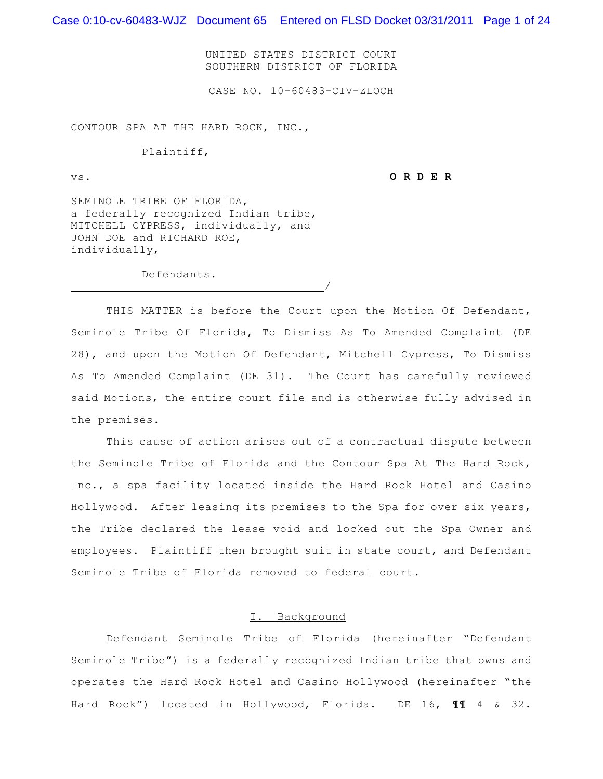Case 0:10-cv-60483-WJZ Document 65 Entered on FLSD Docket 03/31/2011 Page 1 of 24

UNITED STATES DISTRICT COURT SOUTHERN DISTRICT OF FLORIDA

CASE NO. 10-60483-CIV-ZLOCH

CONTOUR SPA AT THE HARD ROCK, INC.,

Plaintiff,

vs. **O R D E R**

SEMINOLE TRIBE OF FLORIDA, a federally recognized Indian tribe, MITCHELL CYPRESS, individually, and JOHN DOE and RICHARD ROE, individually,

/

Defendants.

THIS MATTER is before the Court upon the Motion Of Defendant, Seminole Tribe Of Florida, To Dismiss As To Amended Complaint (DE 28), and upon the Motion Of Defendant, Mitchell Cypress, To Dismiss As To Amended Complaint (DE 31). The Court has carefully reviewed said Motions, the entire court file and is otherwise fully advised in the premises.

This cause of action arises out of a contractual dispute between the Seminole Tribe of Florida and the Contour Spa At The Hard Rock, Inc., a spa facility located inside the Hard Rock Hotel and Casino Hollywood. After leasing its premises to the Spa for over six years, the Tribe declared the lease void and locked out the Spa Owner and employees. Plaintiff then brought suit in state court, and Defendant Seminole Tribe of Florida removed to federal court.

### I. Background

Defendant Seminole Tribe of Florida (hereinafter "Defendant Seminole Tribe") is a federally recognized Indian tribe that owns and operates the Hard Rock Hotel and Casino Hollywood (hereinafter "the Hard Rock") located in Hollywood, Florida. DE 16, **¶¶** 4 & 32.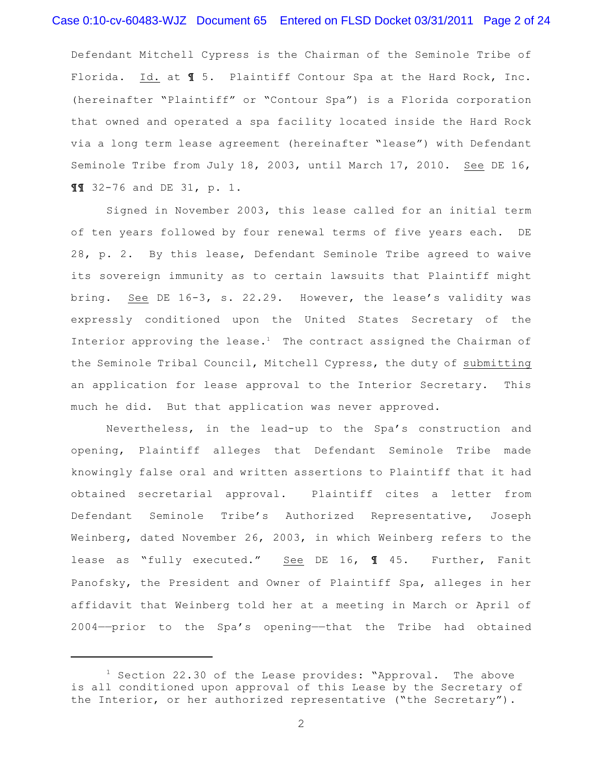### Case 0:10-cv-60483-WJZ Document 65 Entered on FLSD Docket 03/31/2011 Page 2 of 24

Defendant Mitchell Cypress is the Chairman of the Seminole Tribe of Florida. Id. at **¶** 5. Plaintiff Contour Spa at the Hard Rock, Inc. (hereinafter "Plaintiff" or "Contour Spa") is a Florida corporation that owned and operated a spa facility located inside the Hard Rock via a long term lease agreement (hereinafter "lease") with Defendant Seminole Tribe from July 18, 2003, until March 17, 2010. See DE 16, **¶¶** 32-76 and DE 31, p. 1.

Signed in November 2003, this lease called for an initial term of ten years followed by four renewal terms of five years each. DE 28, p. 2. By this lease, Defendant Seminole Tribe agreed to waive its sovereign immunity as to certain lawsuits that Plaintiff might bring. See DE 16-3, s. 22.29. However, the lease's validity was expressly conditioned upon the United States Secretary of the Interior approving the lease.<sup>1</sup> The contract assigned the Chairman of the Seminole Tribal Council, Mitchell Cypress, the duty of submitting an application for lease approval to the Interior Secretary. This much he did. But that application was never approved.

Nevertheless, in the lead-up to the Spa's construction and opening, Plaintiff alleges that Defendant Seminole Tribe made knowingly false oral and written assertions to Plaintiff that it had obtained secretarial approval. Plaintiff cites a letter from Defendant Seminole Tribe's Authorized Representative, Joseph Weinberg, dated November 26, 2003, in which Weinberg refers to the lease as "fully executed." See DE 16, **¶** 45. Further, Fanit Panofsky, the President and Owner of Plaintiff Spa, alleges in her affidavit that Weinberg told her at a meeting in March or April of 2004——prior to the Spa's opening——that the Tribe had obtained

 $1$  Section 22.30 of the Lease provides: "Approval. The above is all conditioned upon approval of this Lease by the Secretary of the Interior, or her authorized representative ("the Secretary").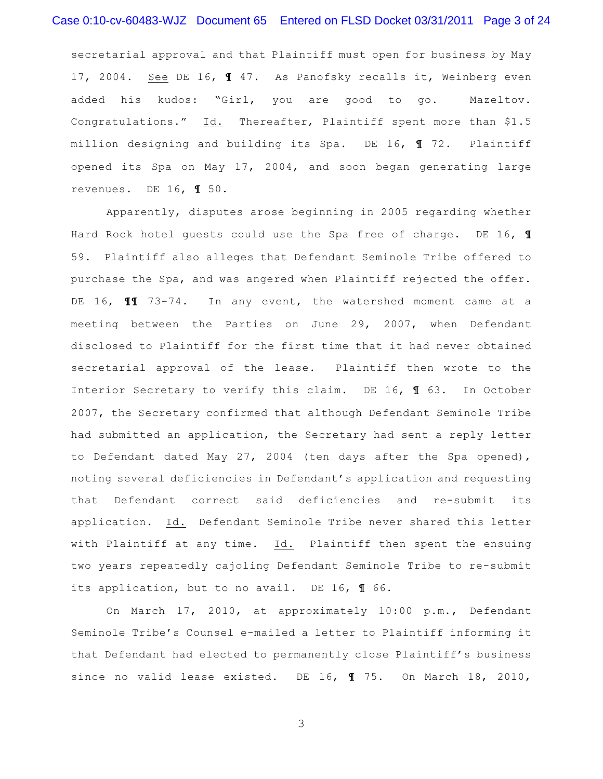# Case 0:10-cv-60483-WJZ Document 65 Entered on FLSD Docket 03/31/2011 Page 3 of 24

secretarial approval and that Plaintiff must open for business by May 17, 2004. See DE 16, **¶** 47. As Panofsky recalls it, Weinberg even added his kudos: "Girl, you are good to go. Mazeltov. Congratulations." Id. Thereafter, Plaintiff spent more than \$1.5 million designing and building its Spa. DE 16, **¶** 72. Plaintiff opened its Spa on May 17, 2004, and soon began generating large revenues. DE 16, **¶** 50.

Apparently, disputes arose beginning in 2005 regarding whether Hard Rock hotel guests could use the Spa free of charge. DE 16, **¶** 59. Plaintiff also alleges that Defendant Seminole Tribe offered to purchase the Spa, and was angered when Plaintiff rejected the offer. DE 16, **¶¶** 73-74. In any event, the watershed moment came at a meeting between the Parties on June 29, 2007, when Defendant disclosed to Plaintiff for the first time that it had never obtained secretarial approval of the lease. Plaintiff then wrote to the Interior Secretary to verify this claim. DE 16, **¶** 63. In October 2007, the Secretary confirmed that although Defendant Seminole Tribe had submitted an application, the Secretary had sent a reply letter to Defendant dated May 27, 2004 (ten days after the Spa opened), noting several deficiencies in Defendant's application and requesting that Defendant correct said deficiencies and re-submit its application. Id. Defendant Seminole Tribe never shared this letter with Plaintiff at any time. Id. Plaintiff then spent the ensuing two years repeatedly cajoling Defendant Seminole Tribe to re-submit its application, but to no avail. DE 16, **¶** 66.

On March 17, 2010, at approximately 10:00 p.m., Defendant Seminole Tribe's Counsel e-mailed a letter to Plaintiff informing it that Defendant had elected to permanently close Plaintiff's business since no valid lease existed. DE 16, **¶** 75. On March 18, 2010,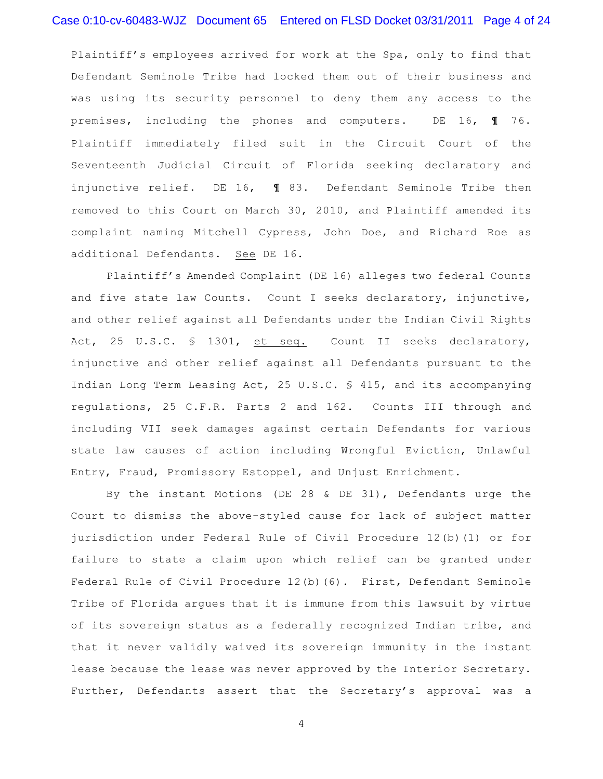Plaintiff's employees arrived for work at the Spa, only to find that Defendant Seminole Tribe had locked them out of their business and was using its security personnel to deny them any access to the premises, including the phones and computers. DE 16, **¶** 76. Plaintiff immediately filed suit in the Circuit Court of the Seventeenth Judicial Circuit of Florida seeking declaratory and injunctive relief. DE 16, **¶** 83. Defendant Seminole Tribe then removed to this Court on March 30, 2010, and Plaintiff amended its complaint naming Mitchell Cypress, John Doe, and Richard Roe as additional Defendants. See DE 16.

Plaintiff's Amended Complaint (DE 16) alleges two federal Counts and five state law Counts. Count I seeks declaratory, injunctive, and other relief against all Defendants under the Indian Civil Rights Act, 25 U.S.C. § 1301, et seq. Count II seeks declaratory, injunctive and other relief against all Defendants pursuant to the Indian Long Term Leasing Act, 25 U.S.C. § 415, and its accompanying regulations, 25 C.F.R. Parts 2 and 162. Counts III through and including VII seek damages against certain Defendants for various state law causes of action including Wrongful Eviction, Unlawful Entry, Fraud, Promissory Estoppel, and Unjust Enrichment.

By the instant Motions (DE 28 & DE 31), Defendants urge the Court to dismiss the above-styled cause for lack of subject matter jurisdiction under Federal Rule of Civil Procedure 12(b)(1) or for failure to state a claim upon which relief can be granted under Federal Rule of Civil Procedure 12(b)(6). First, Defendant Seminole Tribe of Florida argues that it is immune from this lawsuit by virtue of its sovereign status as a federally recognized Indian tribe, and that it never validly waived its sovereign immunity in the instant lease because the lease was never approved by the Interior Secretary. Further, Defendants assert that the Secretary's approval was a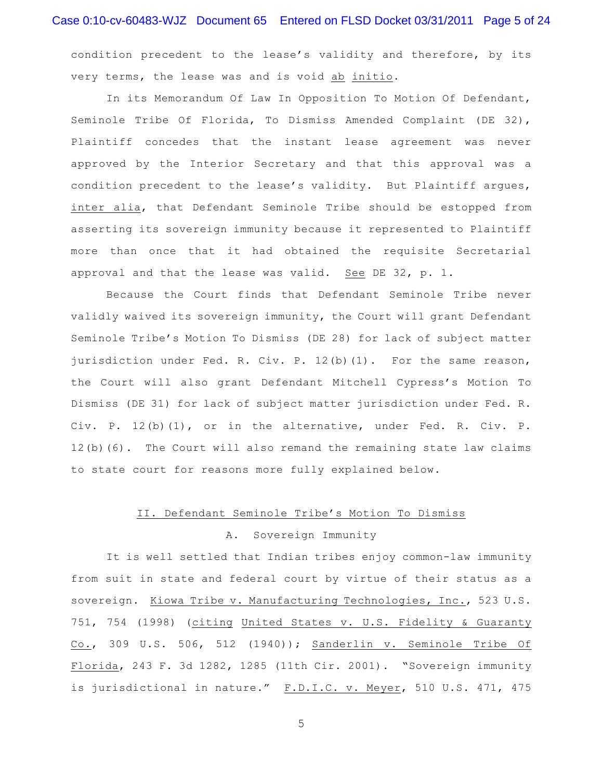condition precedent to the lease's validity and therefore, by its very terms, the lease was and is void ab initio.

In its Memorandum Of Law In Opposition To Motion Of Defendant, Seminole Tribe Of Florida, To Dismiss Amended Complaint (DE 32), Plaintiff concedes that the instant lease agreement was never approved by the Interior Secretary and that this approval was a condition precedent to the lease's validity. But Plaintiff argues, inter alia, that Defendant Seminole Tribe should be estopped from asserting its sovereign immunity because it represented to Plaintiff more than once that it had obtained the requisite Secretarial approval and that the lease was valid. See DE 32, p. 1.

Because the Court finds that Defendant Seminole Tribe never validly waived its sovereign immunity, the Court will grant Defendant Seminole Tribe's Motion To Dismiss (DE 28) for lack of subject matter jurisdiction under Fed. R. Civ. P. 12(b)(1). For the same reason, the Court will also grant Defendant Mitchell Cypress's Motion To Dismiss (DE 31) for lack of subject matter jurisdiction under Fed. R. Civ. P. 12(b)(1), or in the alternative, under Fed. R. Civ. P. 12(b)(6). The Court will also remand the remaining state law claims to state court for reasons more fully explained below.

#### II. Defendant Seminole Tribe's Motion To Dismiss

#### A. Sovereign Immunity

It is well settled that Indian tribes enjoy common-law immunity from suit in state and federal court by virtue of their status as a sovereign. Kiowa Tribe v. Manufacturing Technologies, Inc., 523 U.S. 751, 754 (1998) (citing United States v. U.S. Fidelity & Guaranty Co., 309 U.S. 506, 512 (1940)); Sanderlin v. Seminole Tribe Of Florida, 243 F. 3d 1282, 1285 (11th Cir. 2001). "Sovereign immunity is jurisdictional in nature." F.D.I.C. v. Meyer, 510 U.S. 471, 475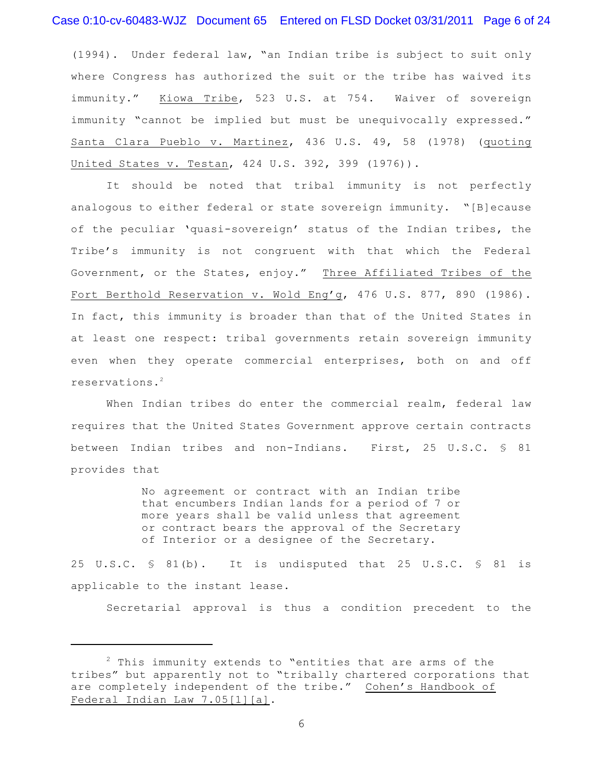### Case 0:10-cv-60483-WJZ Document 65 Entered on FLSD Docket 03/31/2011 Page 6 of 24

(1994). Under federal law, "an Indian tribe is subject to suit only where Congress has authorized the suit or the tribe has waived its immunity." Kiowa Tribe, 523 U.S. at 754. Waiver of sovereign immunity "cannot be implied but must be unequivocally expressed." Santa Clara Pueblo v. Martinez, 436 U.S. 49, 58 (1978) (quoting United States v. Testan, 424 U.S. 392, 399 (1976)).

It should be noted that tribal immunity is not perfectly analogous to either federal or state sovereign immunity. "[B]ecause of the peculiar 'quasi-sovereign' status of the Indian tribes, the Tribe's immunity is not congruent with that which the Federal Government, or the States, enjoy." Three Affiliated Tribes of the Fort Berthold Reservation v. Wold Eng'g, 476 U.S. 877, 890 (1986). In fact, this immunity is broader than that of the United States in at least one respect: tribal governments retain sovereign immunity even when they operate commercial enterprises, both on and off reservations. 2

When Indian tribes do enter the commercial realm, federal law requires that the United States Government approve certain contracts between Indian tribes and non-Indians. First, 25 U.S.C. § 81 provides that

> No agreement or contract with an Indian tribe that encumbers Indian lands for a period of 7 or more years shall be valid unless that agreement or contract bears the approval of the Secretary of Interior or a designee of the Secretary.

25 U.S.C. § 81(b). It is undisputed that 25 U.S.C. § 81 is applicable to the instant lease.

Secretarial approval is thus a condition precedent to the

 $2$  This immunity extends to "entities that are arms of the tribes" but apparently not to "tribally chartered corporations that are completely independent of the tribe." Cohen's Handbook of Federal Indian Law 7.05[1][a].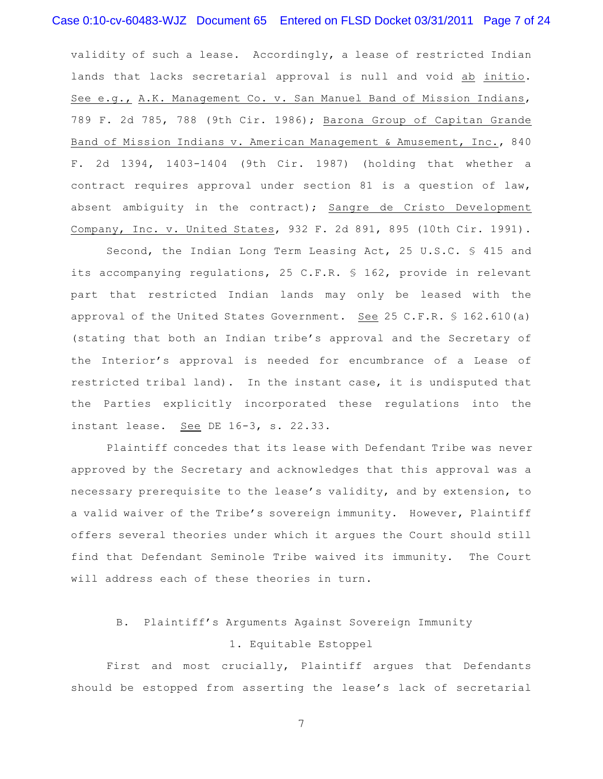validity of such a lease. Accordingly, a lease of restricted Indian lands that lacks secretarial approval is null and void ab initio. See e.g., A.K. Management Co. v. San Manuel Band of Mission Indians, 789 F. 2d 785, 788 (9th Cir. 1986); Barona Group of Capitan Grande Band of Mission Indians v. American Management & Amusement, Inc., 840 F. 2d 1394, 1403-1404 (9th Cir. 1987) (holding that whether a contract requires approval under section 81 is a question of law, absent ambiguity in the contract); Sangre de Cristo Development Company, Inc. v. United States, 932 F. 2d 891, 895 (10th Cir. 1991).

Second, the Indian Long Term Leasing Act, 25 U.S.C. § 415 and its accompanying regulations, 25 C.F.R. § 162, provide in relevant part that restricted Indian lands may only be leased with the approval of the United States Government. See 25 C.F.R.  $$162.610(a)$ (stating that both an Indian tribe's approval and the Secretary of the Interior's approval is needed for encumbrance of a Lease of restricted tribal land). In the instant case, it is undisputed that the Parties explicitly incorporated these regulations into the instant lease. See DE 16-3, s. 22.33.

Plaintiff concedes that its lease with Defendant Tribe was never approved by the Secretary and acknowledges that this approval was a necessary prerequisite to the lease's validity, and by extension, to a valid waiver of the Tribe's sovereign immunity. However, Plaintiff offers several theories under which it argues the Court should still find that Defendant Seminole Tribe waived its immunity. The Court will address each of these theories in turn.

# B. Plaintiff's Arguments Against Sovereign Immunity

### 1. Equitable Estoppel

First and most crucially, Plaintiff argues that Defendants should be estopped from asserting the lease's lack of secretarial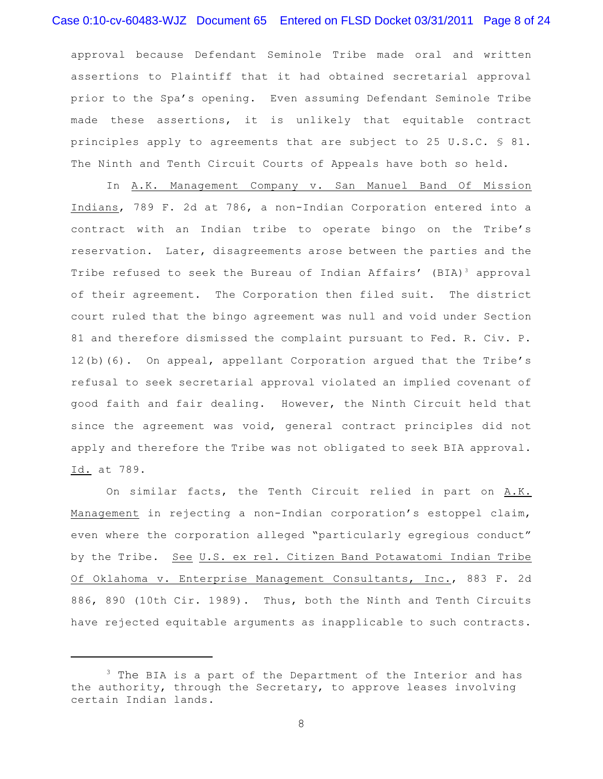# Case 0:10-cv-60483-WJZ Document 65 Entered on FLSD Docket 03/31/2011 Page 8 of 24

approval because Defendant Seminole Tribe made oral and written assertions to Plaintiff that it had obtained secretarial approval prior to the Spa's opening. Even assuming Defendant Seminole Tribe made these assertions, it is unlikely that equitable contract principles apply to agreements that are subject to 25 U.S.C. § 81. The Ninth and Tenth Circuit Courts of Appeals have both so held.

In A.K. Management Company v. San Manuel Band Of Mission Indians, 789 F. 2d at 786, a non-Indian Corporation entered into a contract with an Indian tribe to operate bingo on the Tribe's reservation. Later, disagreements arose between the parties and the Tribe refused to seek the Bureau of Indian Affairs' (BIA)<sup>3</sup> approval of their agreement. The Corporation then filed suit. The district court ruled that the bingo agreement was null and void under Section 81 and therefore dismissed the complaint pursuant to Fed. R. Civ. P. 12(b)(6). On appeal, appellant Corporation argued that the Tribe's refusal to seek secretarial approval violated an implied covenant of good faith and fair dealing. However, the Ninth Circuit held that since the agreement was void, general contract principles did not apply and therefore the Tribe was not obligated to seek BIA approval. Id. at 789.

On similar facts, the Tenth Circuit relied in part on A.K. Management in rejecting a non-Indian corporation's estoppel claim, even where the corporation alleged "particularly egregious conduct" by the Tribe. See U.S. ex rel. Citizen Band Potawatomi Indian Tribe Of Oklahoma v. Enterprise Management Consultants, Inc., 883 F. 2d 886, 890 (10th Cir. 1989). Thus, both the Ninth and Tenth Circuits have rejected equitable arguments as inapplicable to such contracts.

 $3$  The BIA is a part of the Department of the Interior and has the authority, through the Secretary, to approve leases involving certain Indian lands.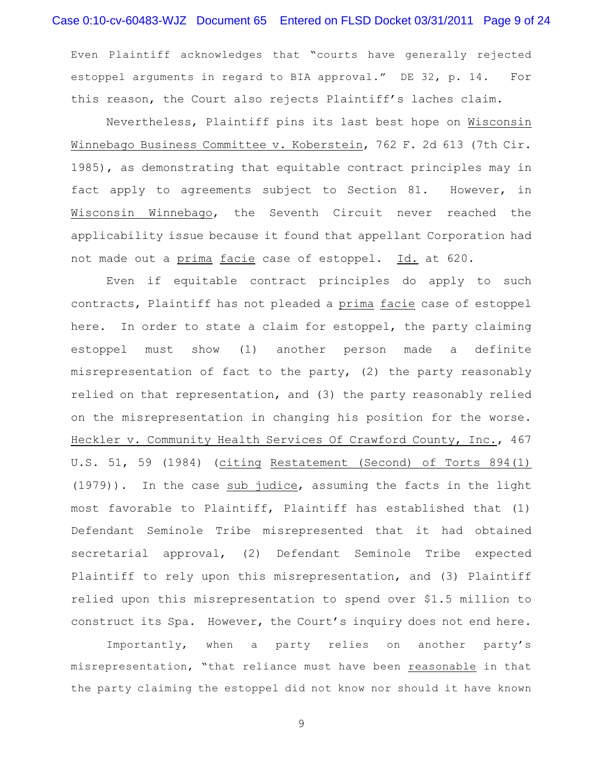# Case 0:10-cv-60483-WJZ Document 65 Entered on FLSD Docket 03/31/2011 Page 9 of 24

Even Plaintiff acknowledges that "courts have generally rejected estoppel arguments in regard to BIA approval." DE 32, p. 14. For this reason, the Court also rejects Plaintiff's laches claim.

Nevertheless, Plaintiff pins its last best hope on Wisconsin Winnebago Business Committee v. Koberstein, 762 F. 2d 613 (7th Cir. 1985), as demonstrating that equitable contract principles may in fact apply to agreements subject to Section 81. However, in Wisconsin Winnebago, the Seventh Circuit never reached the applicability issue because it found that appellant Corporation had not made out a prima facie case of estoppel. Id. at 620.

Even if equitable contract principles do apply to such contracts, Plaintiff has not pleaded a prima facie case of estoppel here. In order to state a claim for estoppel, the party claiming estoppel must show (1) another person made a definite misrepresentation of fact to the party, (2) the party reasonably relied on that representation, and (3) the party reasonably relied on the misrepresentation in changing his position for the worse. Heckler v. Community Health Services Of Crawford County, Inc., 467 U.S. 51, 59 (1984) (citing Restatement (Second) of Torts 894(1) (1979)). In the case sub judice, assuming the facts in the light most favorable to Plaintiff, Plaintiff has established that (1) Defendant Seminole Tribe misrepresented that it had obtained secretarial approval, (2) Defendant Seminole Tribe expected Plaintiff to rely upon this misrepresentation, and (3) Plaintiff relied upon this misrepresentation to spend over \$1.5 million to construct its Spa. However, the Court's inquiry does not end here.

Importantly, when a party relies on another party's misrepresentation, "that reliance must have been reasonable in that the party claiming the estoppel did not know nor should it have known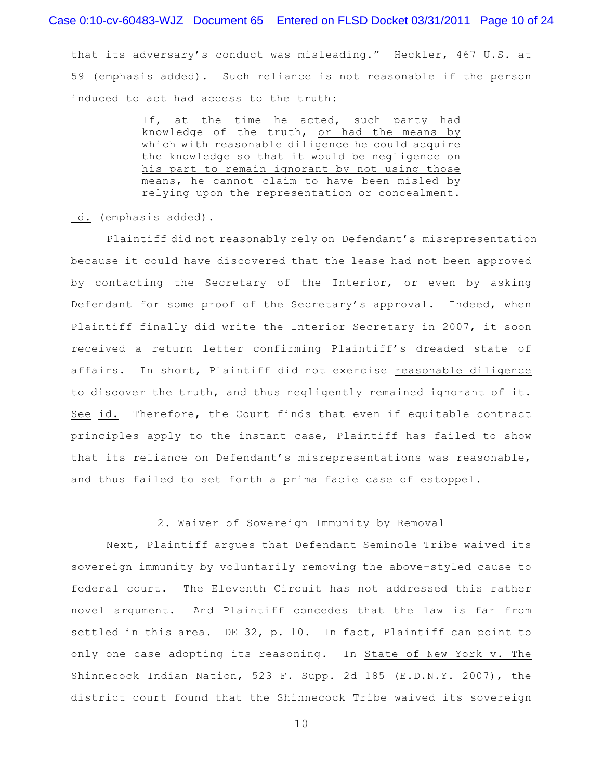### Case 0:10-cv-60483-WJZ Document 65 Entered on FLSD Docket 03/31/2011 Page 10 of 24

that its adversary's conduct was misleading." Heckler, 467 U.S. at 59 (emphasis added). Such reliance is not reasonable if the person induced to act had access to the truth:

> If, at the time he acted, such party had knowledge of the truth, or had the means by which with reasonable diligence he could acquire the knowledge so that it would be negligence on his part to remain ignorant by not using those means, he cannot claim to have been misled by relying upon the representation or concealment.

Id. (emphasis added).

Plaintiff did not reasonably rely on Defendant's misrepresentation because it could have discovered that the lease had not been approved by contacting the Secretary of the Interior, or even by asking Defendant for some proof of the Secretary's approval. Indeed, when Plaintiff finally did write the Interior Secretary in 2007, it soon received a return letter confirming Plaintiff's dreaded state of affairs. In short, Plaintiff did not exercise reasonable diligence to discover the truth, and thus negligently remained ignorant of it. See id. Therefore, the Court finds that even if equitable contract principles apply to the instant case, Plaintiff has failed to show that its reliance on Defendant's misrepresentations was reasonable, and thus failed to set forth a prima facie case of estoppel.

#### 2. Waiver of Sovereign Immunity by Removal

Next, Plaintiff argues that Defendant Seminole Tribe waived its sovereign immunity by voluntarily removing the above-styled cause to federal court. The Eleventh Circuit has not addressed this rather novel argument. And Plaintiff concedes that the law is far from settled in this area. DE 32, p. 10. In fact, Plaintiff can point to only one case adopting its reasoning. In State of New York v. The Shinnecock Indian Nation, 523 F. Supp. 2d 185 (E.D.N.Y. 2007), the district court found that the Shinnecock Tribe waived its sovereign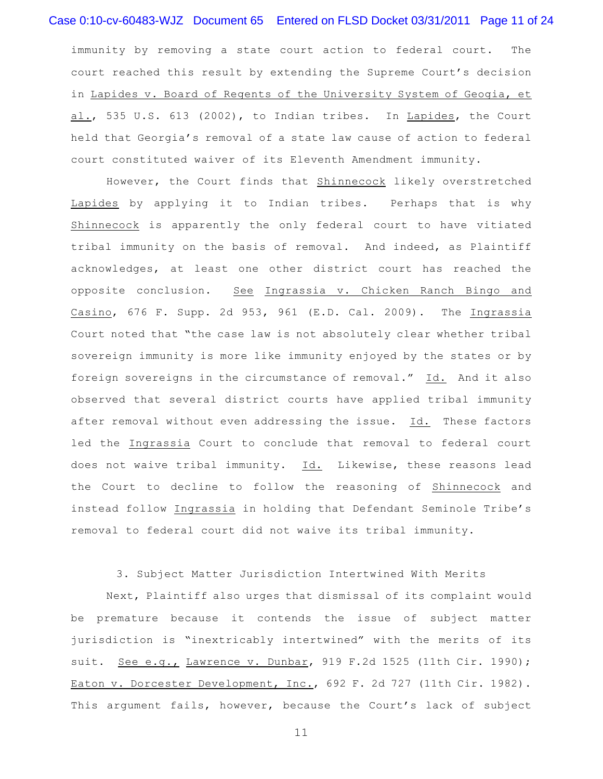# Case 0:10-cv-60483-WJZ Document 65 Entered on FLSD Docket 03/31/2011 Page 11 of 24

immunity by removing a state court action to federal court. The court reached this result by extending the Supreme Court's decision in Lapides v. Board of Regents of the University System of Geogia, et al., 535 U.S. 613 (2002), to Indian tribes. In Lapides, the Court held that Georgia's removal of a state law cause of action to federal court constituted waiver of its Eleventh Amendment immunity.

However, the Court finds that Shinnecock likely overstretched Lapides by applying it to Indian tribes. Perhaps that is why Shinnecock is apparently the only federal court to have vitiated tribal immunity on the basis of removal. And indeed, as Plaintiff acknowledges, at least one other district court has reached the opposite conclusion. See Ingrassia v. Chicken Ranch Bingo and Casino, 676 F. Supp. 2d 953, 961 (E.D. Cal. 2009). The Ingrassia Court noted that "the case law is not absolutely clear whether tribal sovereign immunity is more like immunity enjoyed by the states or by foreign sovereigns in the circumstance of removal." Id. And it also observed that several district courts have applied tribal immunity after removal without even addressing the issue. Id. These factors led the Ingrassia Court to conclude that removal to federal court does not waive tribal immunity. Id. Likewise, these reasons lead the Court to decline to follow the reasoning of Shinnecock and instead follow Ingrassia in holding that Defendant Seminole Tribe's removal to federal court did not waive its tribal immunity.

### 3. Subject Matter Jurisdiction Intertwined With Merits

Next, Plaintiff also urges that dismissal of its complaint would be premature because it contends the issue of subject matter jurisdiction is "inextricably intertwined" with the merits of its suit. See e.g., Lawrence v. Dunbar, 919 F.2d 1525 (11th Cir. 1990); Eaton v. Dorcester Development, Inc., 692 F. 2d 727 (11th Cir. 1982). This argument fails, however, because the Court's lack of subject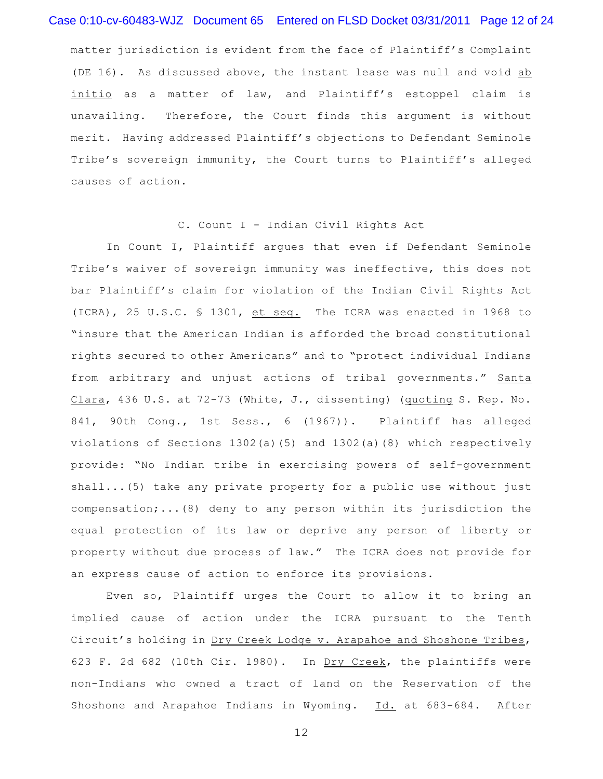# Case 0:10-cv-60483-WJZ Document 65 Entered on FLSD Docket 03/31/2011 Page 12 of 24

matter jurisdiction is evident from the face of Plaintiff's Complaint (DE 16). As discussed above, the instant lease was null and void ab initio as a matter of law, and Plaintiff's estoppel claim is unavailing. Therefore, the Court finds this argument is without merit. Having addressed Plaintiff's objections to Defendant Seminole Tribe's sovereign immunity, the Court turns to Plaintiff's alleged causes of action.

#### C. Count I - Indian Civil Rights Act

In Count I, Plaintiff argues that even if Defendant Seminole Tribe's waiver of sovereign immunity was ineffective, this does not bar Plaintiff's claim for violation of the Indian Civil Rights Act (ICRA), 25 U.S.C. § 1301, et seq. The ICRA was enacted in 1968 to "insure that the American Indian is afforded the broad constitutional rights secured to other Americans" and to "protect individual Indians from arbitrary and unjust actions of tribal governments." Santa Clara, 436 U.S. at 72-73 (White, J., dissenting) (quoting S. Rep. No. 841, 90th Cong., 1st Sess., 6 (1967)). Plaintiff has alleged violations of Sections 1302(a)(5) and 1302(a)(8) which respectively provide: "No Indian tribe in exercising powers of self-government shall...(5) take any private property for a public use without just compensation;...(8) deny to any person within its jurisdiction the equal protection of its law or deprive any person of liberty or property without due process of law." The ICRA does not provide for an express cause of action to enforce its provisions.

Even so, Plaintiff urges the Court to allow it to bring an implied cause of action under the ICRA pursuant to the Tenth Circuit's holding in Dry Creek Lodge v. Arapahoe and Shoshone Tribes, 623 F. 2d 682 (10th Cir. 1980). In Dry Creek, the plaintiffs were non-Indians who owned a tract of land on the Reservation of the Shoshone and Arapahoe Indians in Wyoming. Id. at 683-684. After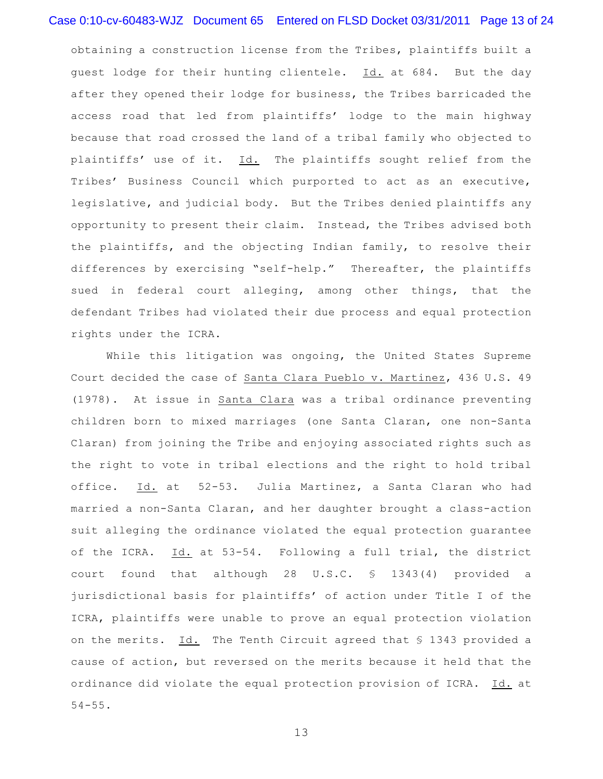# Case 0:10-cv-60483-WJZ Document 65 Entered on FLSD Docket 03/31/2011 Page 13 of 24

obtaining a construction license from the Tribes, plaintiffs built a guest lodge for their hunting clientele. Id. at 684. But the day after they opened their lodge for business, the Tribes barricaded the access road that led from plaintiffs' lodge to the main highway because that road crossed the land of a tribal family who objected to plaintiffs' use of it. Id. The plaintiffs sought relief from the Tribes' Business Council which purported to act as an executive, legislative, and judicial body. But the Tribes denied plaintiffs any opportunity to present their claim. Instead, the Tribes advised both the plaintiffs, and the objecting Indian family, to resolve their differences by exercising "self-help." Thereafter, the plaintiffs sued in federal court alleging, among other things, that the defendant Tribes had violated their due process and equal protection rights under the ICRA.

While this litigation was ongoing, the United States Supreme Court decided the case of Santa Clara Pueblo v. Martinez, 436 U.S. 49 (1978). At issue in Santa Clara was a tribal ordinance preventing children born to mixed marriages (one Santa Claran, one non-Santa Claran) from joining the Tribe and enjoying associated rights such as the right to vote in tribal elections and the right to hold tribal office. Id. at 52-53. Julia Martinez, a Santa Claran who had married a non-Santa Claran, and her daughter brought a class-action suit alleging the ordinance violated the equal protection guarantee of the ICRA. Id. at 53-54. Following a full trial, the district court found that although 28 U.S.C. § 1343(4) provided a jurisdictional basis for plaintiffs' of action under Title I of the ICRA, plaintiffs were unable to prove an equal protection violation on the merits. Id. The Tenth Circuit agreed that § 1343 provided a cause of action, but reversed on the merits because it held that the ordinance did violate the equal protection provision of ICRA. Id. at  $54 - 55.$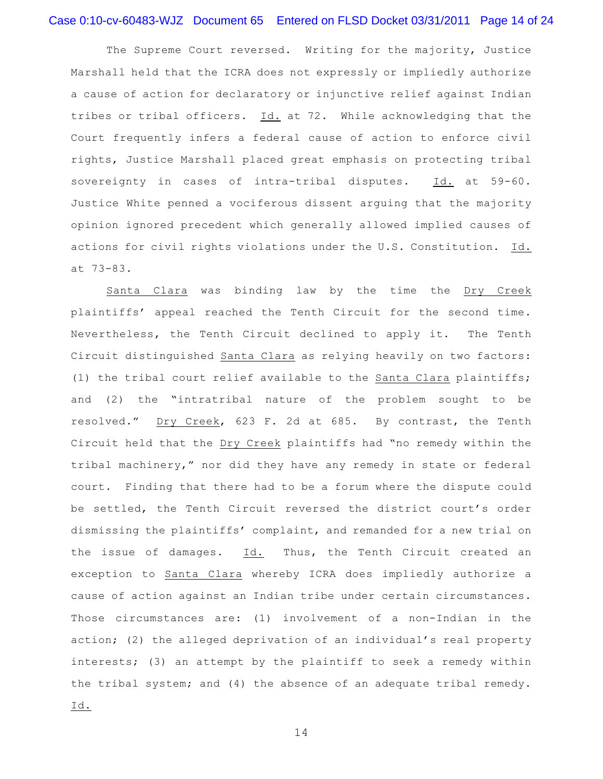# Case 0:10-cv-60483-WJZ Document 65 Entered on FLSD Docket 03/31/2011 Page 14 of 24

The Supreme Court reversed. Writing for the majority, Justice Marshall held that the ICRA does not expressly or impliedly authorize a cause of action for declaratory or injunctive relief against Indian tribes or tribal officers. Id. at 72. While acknowledging that the Court frequently infers a federal cause of action to enforce civil rights, Justice Marshall placed great emphasis on protecting tribal sovereignty in cases of intra-tribal disputes. Id. at 59-60. Justice White penned a vociferous dissent arguing that the majority opinion ignored precedent which generally allowed implied causes of actions for civil rights violations under the U.S. Constitution. Id. at 73-83.

Santa Clara was binding law by the time the Dry Creek plaintiffs' appeal reached the Tenth Circuit for the second time. Nevertheless, the Tenth Circuit declined to apply it. The Tenth Circuit distinguished Santa Clara as relying heavily on two factors: (1) the tribal court relief available to the Santa Clara plaintiffs; and (2) the "intratribal nature of the problem sought to be resolved." Dry Creek, 623 F. 2d at 685. By contrast, the Tenth Circuit held that the Dry Creek plaintiffs had "no remedy within the tribal machinery," nor did they have any remedy in state or federal court. Finding that there had to be a forum where the dispute could be settled, the Tenth Circuit reversed the district court's order dismissing the plaintiffs' complaint, and remanded for a new trial on the issue of damages. Id. Thus, the Tenth Circuit created an exception to Santa Clara whereby ICRA does impliedly authorize a cause of action against an Indian tribe under certain circumstances. Those circumstances are: (1) involvement of a non-Indian in the action; (2) the alleged deprivation of an individual's real property interests; (3) an attempt by the plaintiff to seek a remedy within the tribal system; and (4) the absence of an adequate tribal remedy. Id.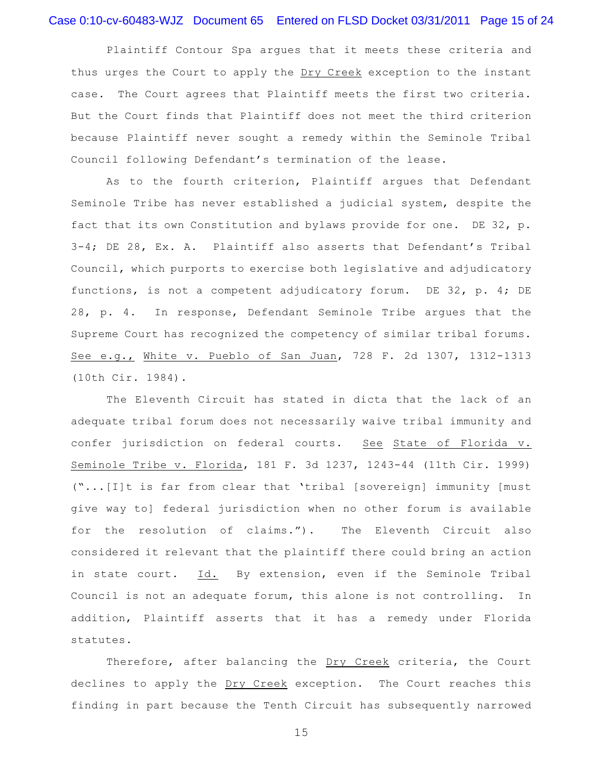# Case 0:10-cv-60483-WJZ Document 65 Entered on FLSD Docket 03/31/2011 Page 15 of 24

Plaintiff Contour Spa argues that it meets these criteria and thus urges the Court to apply the Dry Creek exception to the instant case. The Court agrees that Plaintiff meets the first two criteria. But the Court finds that Plaintiff does not meet the third criterion because Plaintiff never sought a remedy within the Seminole Tribal Council following Defendant's termination of the lease.

As to the fourth criterion, Plaintiff argues that Defendant Seminole Tribe has never established a judicial system, despite the fact that its own Constitution and bylaws provide for one. DE 32, p. 3-4; DE 28, Ex. A. Plaintiff also asserts that Defendant's Tribal Council, which purports to exercise both legislative and adjudicatory functions, is not a competent adjudicatory forum. DE 32, p. 4; DE 28, p. 4. In response, Defendant Seminole Tribe argues that the Supreme Court has recognized the competency of similar tribal forums. See e.g., White v. Pueblo of San Juan, 728 F. 2d 1307, 1312-1313 (10th Cir. 1984).

The Eleventh Circuit has stated in dicta that the lack of an adequate tribal forum does not necessarily waive tribal immunity and confer jurisdiction on federal courts. See State of Florida v. Seminole Tribe v. Florida, 181 F. 3d 1237, 1243-44 (11th Cir. 1999) ("...[I]t is far from clear that 'tribal [sovereign] immunity [must give way to] federal jurisdiction when no other forum is available for the resolution of claims."). The Eleventh Circuit also considered it relevant that the plaintiff there could bring an action in state court. Id. By extension, even if the Seminole Tribal Council is not an adequate forum, this alone is not controlling. In addition, Plaintiff asserts that it has a remedy under Florida statutes.

Therefore, after balancing the Dry Creek criteria, the Court declines to apply the Dry Creek exception. The Court reaches this finding in part because the Tenth Circuit has subsequently narrowed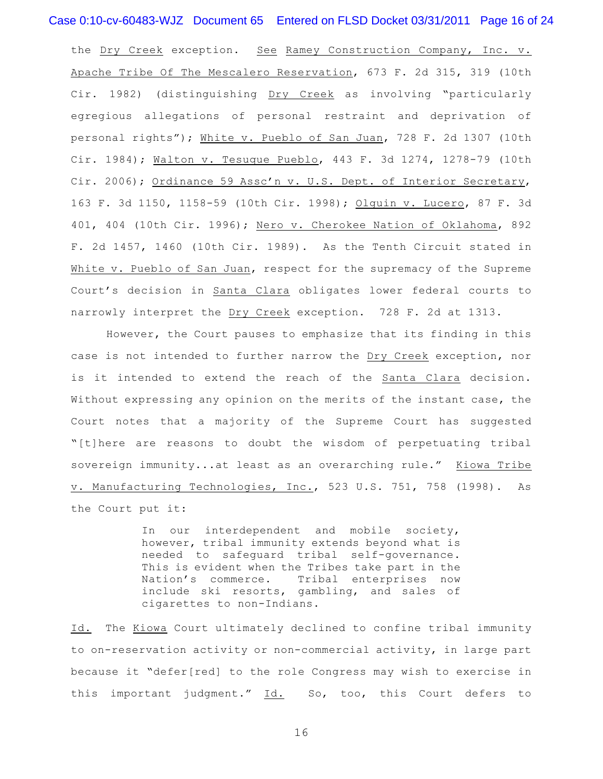### Case 0:10-cv-60483-WJZ Document 65 Entered on FLSD Docket 03/31/2011 Page 16 of 24

the Dry Creek exception. See Ramey Construction Company, Inc. v. Apache Tribe Of The Mescalero Reservation, 673 F. 2d 315, 319 (10th Cir. 1982) (distinguishing Dry Creek as involving "particularly egregious allegations of personal restraint and deprivation of personal rights"); White v. Pueblo of San Juan, 728 F. 2d 1307 (10th Cir. 1984); Walton v. Tesuque Pueblo, 443 F. 3d 1274, 1278-79 (10th Cir. 2006); Ordinance 59 Assc'n v. U.S. Dept. of Interior Secretary, 163 F. 3d 1150, 1158-59 (10th Cir. 1998); Olguin v. Lucero, 87 F. 3d 401, 404 (10th Cir. 1996); Nero v. Cherokee Nation of Oklahoma, 892 F. 2d 1457, 1460 (10th Cir. 1989). As the Tenth Circuit stated in White v. Pueblo of San Juan, respect for the supremacy of the Supreme Court's decision in Santa Clara obligates lower federal courts to narrowly interpret the Dry Creek exception. 728 F. 2d at 1313.

However, the Court pauses to emphasize that its finding in this case is not intended to further narrow the Dry Creek exception, nor is it intended to extend the reach of the Santa Clara decision. Without expressing any opinion on the merits of the instant case, the Court notes that a majority of the Supreme Court has suggested "[t]here are reasons to doubt the wisdom of perpetuating tribal sovereign immunity...at least as an overarching rule." Kiowa Tribe v. Manufacturing Technologies, Inc., 523 U.S. 751, 758 (1998). As the Court put it:

> In our interdependent and mobile society, however, tribal immunity extends beyond what is needed to safeguard tribal self-governance. This is evident when the Tribes take part in the Nation's commerce. Tribal enterprises now include ski resorts, gambling, and sales of cigarettes to non-Indians.

Id. The Kiowa Court ultimately declined to confine tribal immunity to on-reservation activity or non-commercial activity, in large part because it "defer[red] to the role Congress may wish to exercise in this important judgment." Id. So, too, this Court defers to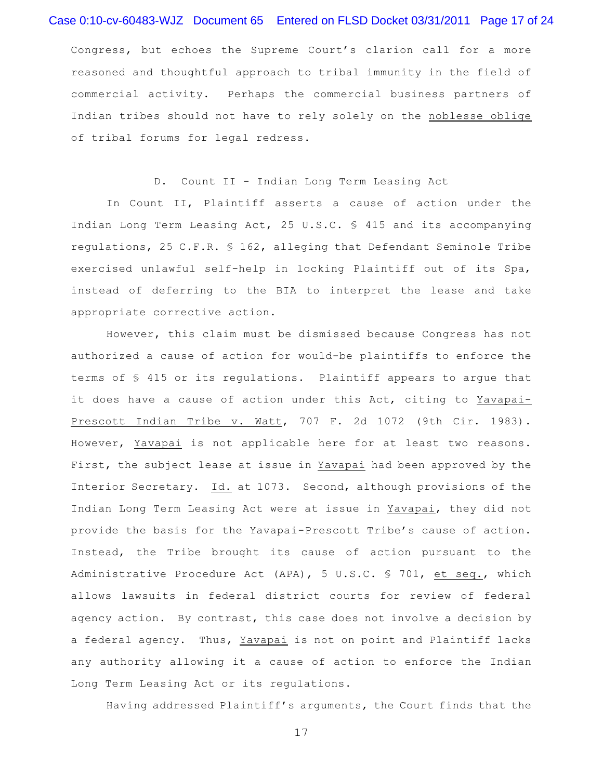# Case 0:10-cv-60483-WJZ Document 65 Entered on FLSD Docket 03/31/2011 Page 17 of 24

Congress, but echoes the Supreme Court's clarion call for a more reasoned and thoughtful approach to tribal immunity in the field of commercial activity. Perhaps the commercial business partners of Indian tribes should not have to rely solely on the noblesse oblige of tribal forums for legal redress.

D. Count II - Indian Long Term Leasing Act

In Count II, Plaintiff asserts a cause of action under the Indian Long Term Leasing Act, 25 U.S.C. § 415 and its accompanying regulations, 25 C.F.R. § 162, alleging that Defendant Seminole Tribe exercised unlawful self-help in locking Plaintiff out of its Spa, instead of deferring to the BIA to interpret the lease and take appropriate corrective action.

However, this claim must be dismissed because Congress has not authorized a cause of action for would-be plaintiffs to enforce the terms of § 415 or its regulations. Plaintiff appears to argue that it does have a cause of action under this Act, citing to Yavapai-Prescott Indian Tribe v. Watt, 707 F. 2d 1072 (9th Cir. 1983). However, Yavapai is not applicable here for at least two reasons. First, the subject lease at issue in Yavapai had been approved by the Interior Secretary. Id. at 1073. Second, although provisions of the Indian Long Term Leasing Act were at issue in Yavapai, they did not provide the basis for the Yavapai-Prescott Tribe's cause of action. Instead, the Tribe brought its cause of action pursuant to the Administrative Procedure Act (APA), 5 U.S.C. § 701, et seq., which allows lawsuits in federal district courts for review of federal agency action. By contrast, this case does not involve a decision by a federal agency. Thus, Yavapai is not on point and Plaintiff lacks any authority allowing it a cause of action to enforce the Indian Long Term Leasing Act or its regulations.

Having addressed Plaintiff's arguments, the Court finds that the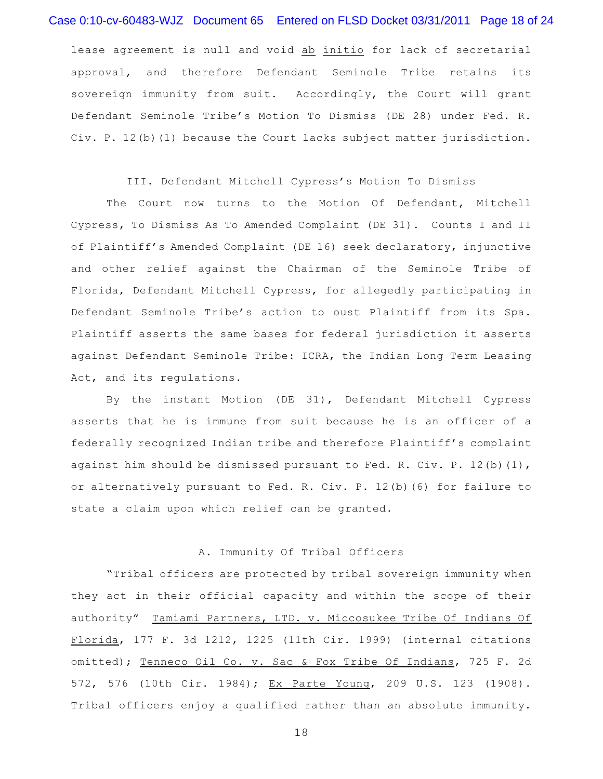### Case 0:10-cv-60483-WJZ Document 65 Entered on FLSD Docket 03/31/2011 Page 18 of 24

lease agreement is null and void ab initio for lack of secretarial approval, and therefore Defendant Seminole Tribe retains its sovereign immunity from suit. Accordingly, the Court will grant Defendant Seminole Tribe's Motion To Dismiss (DE 28) under Fed. R. Civ. P. 12(b)(1) because the Court lacks subject matter jurisdiction.

#### III. Defendant Mitchell Cypress's Motion To Dismiss

The Court now turns to the Motion Of Defendant, Mitchell Cypress, To Dismiss As To Amended Complaint (DE 31). Counts I and II of Plaintiff's Amended Complaint (DE 16) seek declaratory, injunctive and other relief against the Chairman of the Seminole Tribe of Florida, Defendant Mitchell Cypress, for allegedly participating in Defendant Seminole Tribe's action to oust Plaintiff from its Spa. Plaintiff asserts the same bases for federal jurisdiction it asserts against Defendant Seminole Tribe: ICRA, the Indian Long Term Leasing Act, and its regulations.

By the instant Motion (DE 31), Defendant Mitchell Cypress asserts that he is immune from suit because he is an officer of a federally recognized Indian tribe and therefore Plaintiff's complaint against him should be dismissed pursuant to Fed. R. Civ. P.  $12(b)(1)$ , or alternatively pursuant to Fed. R. Civ. P. 12(b)(6) for failure to state a claim upon which relief can be granted.

### A. Immunity Of Tribal Officers

"Tribal officers are protected by tribal sovereign immunity when they act in their official capacity and within the scope of their authority" Tamiami Partners, LTD. v. Miccosukee Tribe Of Indians Of Florida, 177 F. 3d 1212, 1225 (11th Cir. 1999) (internal citations omitted); Tenneco Oil Co. v. Sac & Fox Tribe Of Indians, 725 F. 2d 572, 576 (10th Cir. 1984); Ex Parte Young, 209 U.S. 123 (1908). Tribal officers enjoy a qualified rather than an absolute immunity.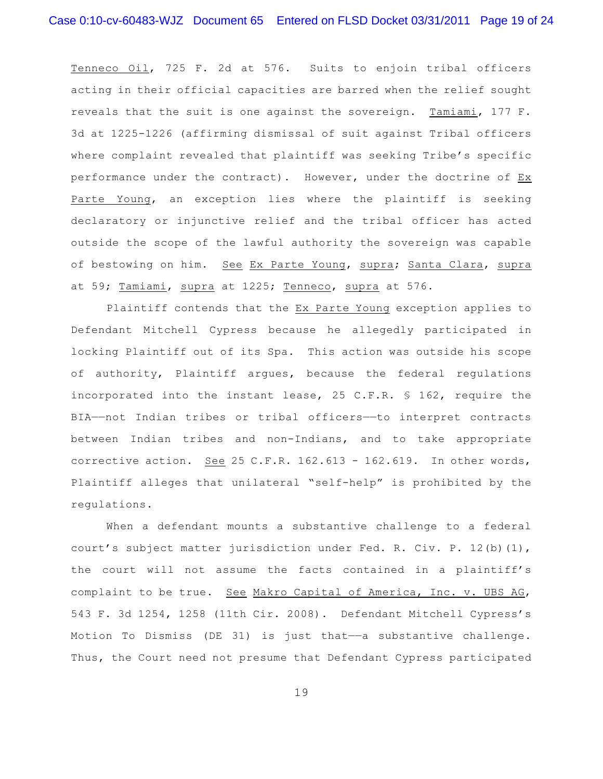Tenneco Oil, 725 F. 2d at 576. Suits to enjoin tribal officers acting in their official capacities are barred when the relief sought reveals that the suit is one against the sovereign. Tamiami, 177 F. 3d at 1225-1226 (affirming dismissal of suit against Tribal officers where complaint revealed that plaintiff was seeking Tribe's specific performance under the contract). However, under the doctrine of Ex Parte Young, an exception lies where the plaintiff is seeking declaratory or injunctive relief and the tribal officer has acted outside the scope of the lawful authority the sovereign was capable of bestowing on him. See Ex Parte Young, supra; Santa Clara, supra at 59; Tamiami, supra at 1225; Tenneco, supra at 576.

Plaintiff contends that the Ex Parte Young exception applies to Defendant Mitchell Cypress because he allegedly participated in locking Plaintiff out of its Spa. This action was outside his scope of authority, Plaintiff argues, because the federal regulations incorporated into the instant lease, 25 C.F.R. § 162, require the BIA——not Indian tribes or tribal officers——to interpret contracts between Indian tribes and non-Indians, and to take appropriate corrective action. See 25 C.F.R. 162.613 - 162.619. In other words, Plaintiff alleges that unilateral "self-help" is prohibited by the regulations.

When a defendant mounts a substantive challenge to a federal court's subject matter jurisdiction under Fed. R. Civ. P. 12(b)(1), the court will not assume the facts contained in a plaintiff's complaint to be true. See Makro Capital of America, Inc. v. UBS AG, 543 F. 3d 1254, 1258 (11th Cir. 2008). Defendant Mitchell Cypress's Motion To Dismiss (DE 31) is just that— $-a$  substantive challenge. Thus, the Court need not presume that Defendant Cypress participated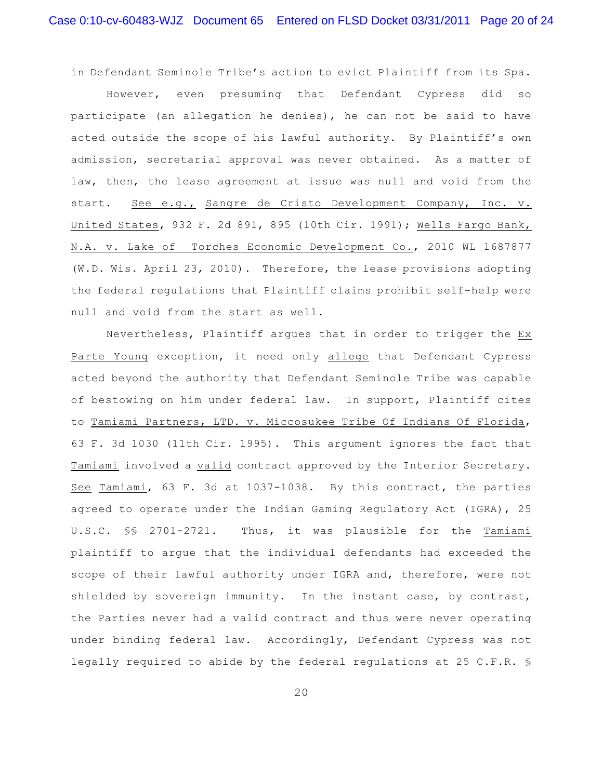in Defendant Seminole Tribe's action to evict Plaintiff from its Spa.

However, even presuming that Defendant Cypress did so participate (an allegation he denies), he can not be said to have acted outside the scope of his lawful authority. By Plaintiff's own admission, secretarial approval was never obtained. As a matter of law, then, the lease agreement at issue was null and void from the start. See e.g., Sangre de Cristo Development Company, Inc. v. United States, 932 F. 2d 891, 895 (10th Cir. 1991); Wells Fargo Bank, N.A. v. Lake of Torches Economic Development Co., 2010 WL 1687877 (W.D. Wis. April 23, 2010). Therefore, the lease provisions adopting the federal regulations that Plaintiff claims prohibit self-help were null and void from the start as well.

Nevertheless, Plaintiff argues that in order to trigger the Ex Parte Young exception, it need only allege that Defendant Cypress acted beyond the authority that Defendant Seminole Tribe was capable of bestowing on him under federal law. In support, Plaintiff cites to Tamiami Partners, LTD. v. Miccosukee Tribe Of Indians Of Florida, 63 F. 3d 1030 (11th Cir. 1995). This argument ignores the fact that Tamiami involved a valid contract approved by the Interior Secretary. See Tamiami, 63 F. 3d at 1037-1038. By this contract, the parties agreed to operate under the Indian Gaming Regulatory Act (IGRA), 25 U.S.C. §§ 2701-2721. Thus, it was plausible for the Tamiami plaintiff to argue that the individual defendants had exceeded the scope of their lawful authority under IGRA and, therefore, were not shielded by sovereign immunity. In the instant case, by contrast, the Parties never had a valid contract and thus were never operating under binding federal law. Accordingly, Defendant Cypress was not legally required to abide by the federal regulations at 25 C.F.R. §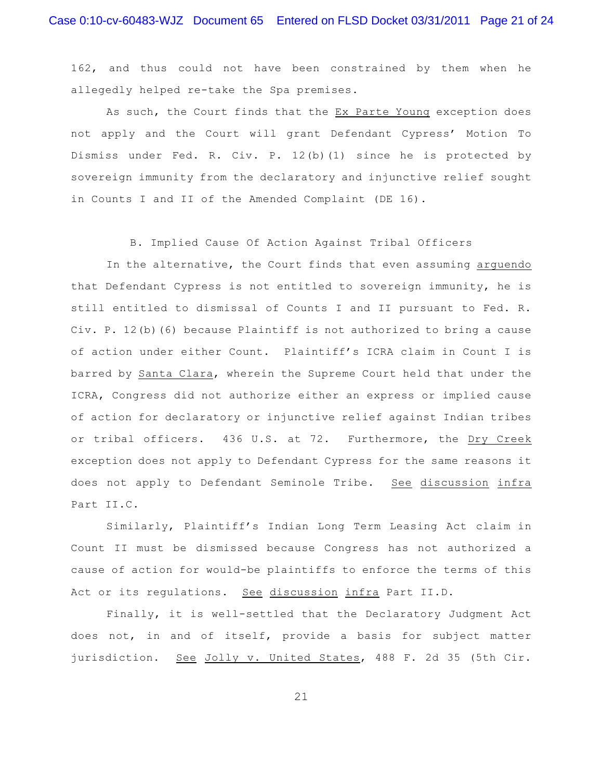162, and thus could not have been constrained by them when he allegedly helped re-take the Spa premises.

As such, the Court finds that the Ex Parte Young exception does not apply and the Court will grant Defendant Cypress' Motion To Dismiss under Fed. R. Civ. P. 12(b)(1) since he is protected by sovereign immunity from the declaratory and injunctive relief sought in Counts I and II of the Amended Complaint (DE 16).

B. Implied Cause Of Action Against Tribal Officers

In the alternative, the Court finds that even assuming arguendo that Defendant Cypress is not entitled to sovereign immunity, he is still entitled to dismissal of Counts I and II pursuant to Fed. R. Civ. P. 12(b)(6) because Plaintiff is not authorized to bring a cause of action under either Count. Plaintiff's ICRA claim in Count I is barred by Santa Clara, wherein the Supreme Court held that under the ICRA, Congress did not authorize either an express or implied cause of action for declaratory or injunctive relief against Indian tribes or tribal officers. 436 U.S. at 72. Furthermore, the Dry Creek exception does not apply to Defendant Cypress for the same reasons it does not apply to Defendant Seminole Tribe. See discussion infra Part II.C.

Similarly, Plaintiff's Indian Long Term Leasing Act claim in Count II must be dismissed because Congress has not authorized a cause of action for would-be plaintiffs to enforce the terms of this Act or its regulations. See discussion infra Part II.D.

Finally, it is well-settled that the Declaratory Judgment Act does not, in and of itself, provide a basis for subject matter jurisdiction. See Jolly v. United States, 488 F. 2d 35 (5th Cir.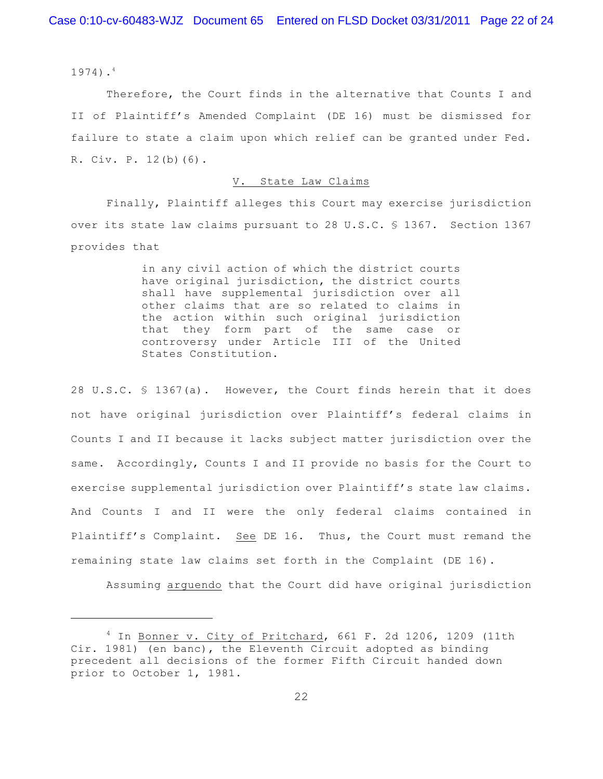1974). 4

Therefore, the Court finds in the alternative that Counts I and II of Plaintiff's Amended Complaint (DE 16) must be dismissed for failure to state a claim upon which relief can be granted under Fed. R. Civ. P. 12(b)(6).

#### V. State Law Claims

Finally, Plaintiff alleges this Court may exercise jurisdiction over its state law claims pursuant to 28 U.S.C. § 1367. Section 1367 provides that

> in any civil action of which the district courts have original jurisdiction, the district courts shall have supplemental jurisdiction over all other claims that are so related to claims in the action within such original jurisdiction that they form part of the same case or controversy under Article III of the United States Constitution.

28 U.S.C. § 1367(a). However, the Court finds herein that it does not have original jurisdiction over Plaintiff's federal claims in Counts I and II because it lacks subject matter jurisdiction over the same. Accordingly, Counts I and II provide no basis for the Court to exercise supplemental jurisdiction over Plaintiff's state law claims. And Counts I and II were the only federal claims contained in Plaintiff's Complaint. See DE 16. Thus, the Court must remand the remaining state law claims set forth in the Complaint (DE 16).

Assuming arguendo that the Court did have original jurisdiction

<sup>&</sup>lt;sup>4</sup> In Bonner v. City of Pritchard, 661 F. 2d 1206, 1209 (11th Cir. 1981) (en banc), the Eleventh Circuit adopted as binding precedent all decisions of the former Fifth Circuit handed down prior to October 1, 1981.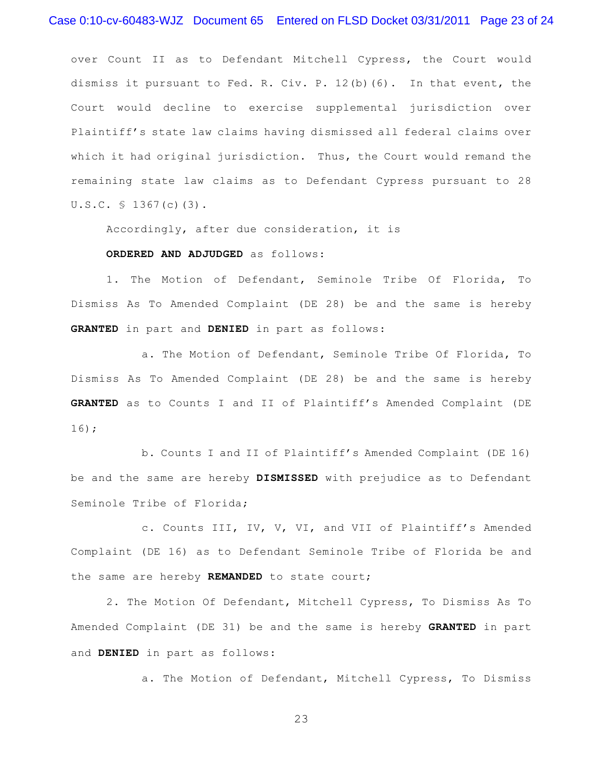over Count II as to Defendant Mitchell Cypress, the Court would dismiss it pursuant to Fed. R. Civ. P. 12(b)(6). In that event, the Court would decline to exercise supplemental jurisdiction over Plaintiff's state law claims having dismissed all federal claims over which it had original jurisdiction. Thus, the Court would remand the remaining state law claims as to Defendant Cypress pursuant to 28 U.S.C. § 1367(c)(3).

Accordingly, after due consideration, it is

#### **ORDERED AND ADJUDGED** as follows:

1. The Motion of Defendant, Seminole Tribe Of Florida, To Dismiss As To Amended Complaint (DE 28) be and the same is hereby **GRANTED** in part and **DENIED** in part as follows:

a. The Motion of Defendant, Seminole Tribe Of Florida, To Dismiss As To Amended Complaint (DE 28) be and the same is hereby **GRANTED** as to Counts I and II of Plaintiff's Amended Complaint (DE 16);

b. Counts I and II of Plaintiff's Amended Complaint (DE 16) be and the same are hereby **DISMISSED** with prejudice as to Defendant Seminole Tribe of Florida;

c. Counts III, IV, V, VI, and VII of Plaintiff's Amended Complaint (DE 16) as to Defendant Seminole Tribe of Florida be and the same are hereby **REMANDED** to state court;

2. The Motion Of Defendant, Mitchell Cypress, To Dismiss As To Amended Complaint (DE 31) be and the same is hereby **GRANTED** in part and **DENIED** in part as follows:

a. The Motion of Defendant, Mitchell Cypress, To Dismiss